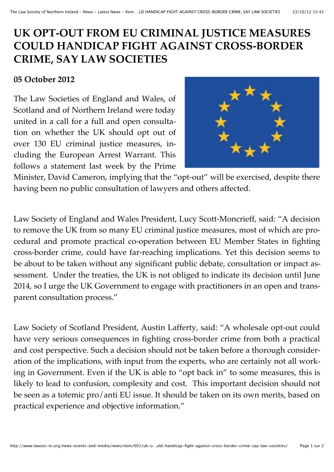## **UK OPT-OUT FROM EU CRIMINAL JUSTICE MEASURES COULD HANDICAP FIGHT AGAINST CROSS-BORDER CRIME, SAY LAW SOCIETIES**

## **05 October 2012**

The Law Societies of England and Wales, of Scotland and of Northern Ireland were today united in a call for a full and open consultation on whether the UK should opt out of over 130 EU criminal justice measures, including the European Arrest Warrant. This follows a statement last week by the Prime



Minister, David Cameron, implying that the "opt-out" will be exercised, despite there having been no public consultation of lawyers and others affected.

Law Society of England and Wales President, Lucy Scott-Moncrieff, said: "A decision to remove the UK from so many EU criminal justice measures, most of which are procedural and promote practical co-operation between EU Member States in fighting cross-border crime, could have far-reaching implications. Yet this decision seems to be about to be taken without any significant public debate, consultation or impact assessment. Under the treaties, the UK is not obliged to indicate its decision until June 2014, so I urge the UK Government to engage with practitioners in an open and transparent consultation process."

Law Society of Scotland President, Austin Lafferty, said: "A wholesale opt-out could have very serious consequences in fighting cross-border crime from both a practical and cost perspective. Such a decision should not be taken before a thorough consideration of the implications, with input from the experts, who are certainly not all working in Government. Even if the UK is able to "opt back in" to some measures, this is likely to lead to confusion, complexity and cost. This important decision should not be seen as a totemic pro/anti EU issue. It should be taken on its own merits, based on practical experience and objective information."